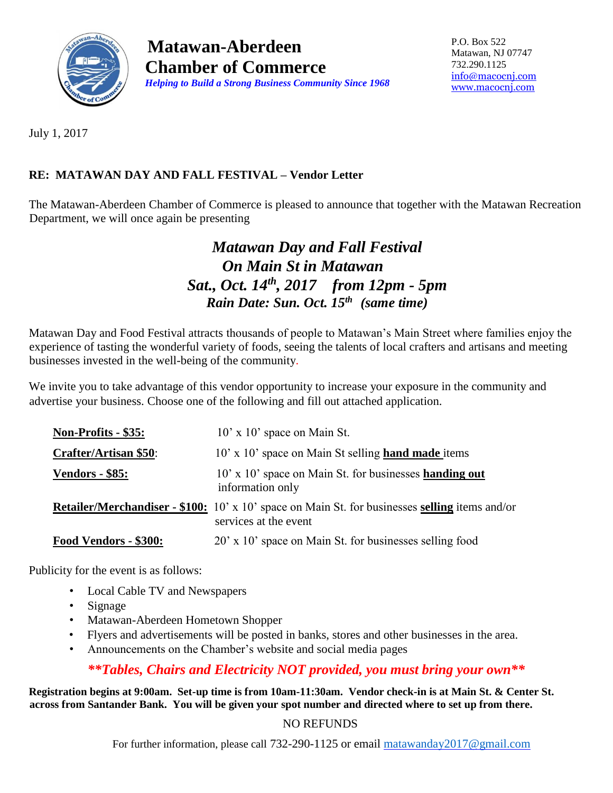

**Matawan-Aberdeen Chamber of Commerce**  *Helping to Build a Strong Business Community Since 1968* P.O. Box 522 Matawan, NJ 07747 732.290.1125 [info@macocnj.com](mailto:info@macocnj.com) [www.macocnj.com](http://www.macocnj.com/)

July 1, 2017

## **RE: MATAWAN DAY AND FALL FESTIVAL – Vendor Letter**

The Matawan-Aberdeen Chamber of Commerce is pleased to announce that together with the Matawan Recreation Department, we will once again be presenting

## *Matawan Day and Fall Festival On Main St in Matawan Sat., Oct. 14th, 2017 from 12pm - 5pm Rain Date: Sun. Oct. 15th (same time)*

Matawan Day and Food Festival attracts thousands of people to Matawan's Main Street where families enjoy the experience of tasting the wonderful variety of foods, seeing the talents of local crafters and artisans and meeting businesses invested in the well-being of the community.

We invite you to take advantage of this vendor opportunity to increase your exposure in the community and advertise your business. Choose one of the following and fill out attached application.

| Non-Profits - \$35:          | $10'$ x $10'$ space on Main St.                                                                                                |
|------------------------------|--------------------------------------------------------------------------------------------------------------------------------|
| <b>Crafter/Artisan \$50:</b> | 10' x 10' space on Main St selling hand made items                                                                             |
| <b>Vendors - \$85:</b>       | 10' x 10' space on Main St. for businesses handing out<br>information only                                                     |
|                              | <b>Retailer/Merchandiser - \$100:</b> 10' x 10' space on Main St. for businesses selling items and/or<br>services at the event |
| Food Vendors - \$300:        | 20' x 10' space on Main St. for businesses selling food                                                                        |

Publicity for the event is as follows:

- Local Cable TV and Newspapers
- Signage
- Matawan-Aberdeen Hometown Shopper
- Flyers and advertisements will be posted in banks, stores and other businesses in the area.
- Announcements on the Chamber's website and social media pages

### *\*\*Tables, Chairs and Electricity NOT provided, you must bring your own\*\**

**Registration begins at 9:00am. Set-up time is from 10am-11:30am. Vendor check-in is at Main St. & Center St. across from Santander Bank. You will be given your spot number and directed where to set up from there.**

#### NO REFUNDS

For further information, please call 732-290-1125 or email [matawanday2017@gmail.com](mailto:matawanday2017@gmail.com)